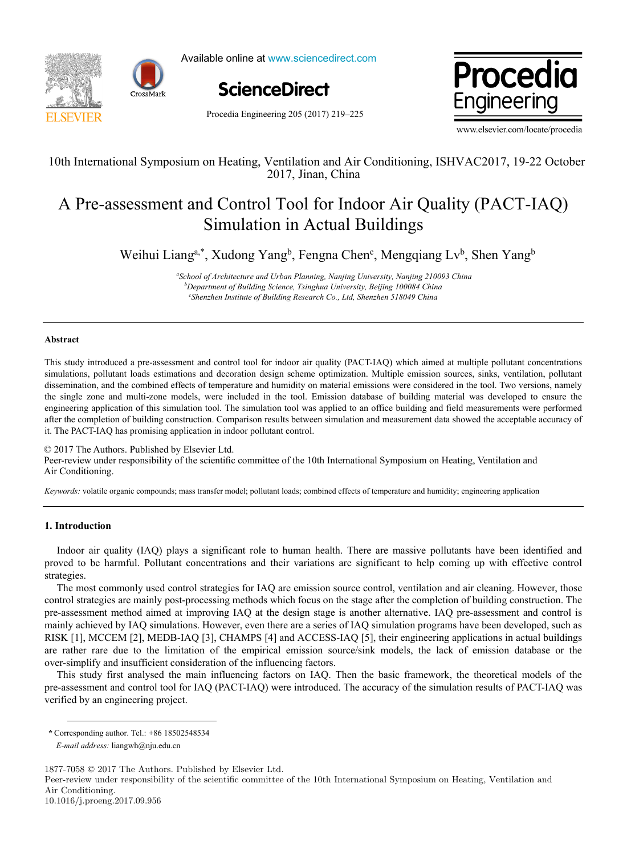



Available online at www.sciencedirect.com<br>
— ScienceDirect





Procedia Engineering 205 (2017) 219–225

www.elsevier.com/locate/procedia

10th International Symposium on Heating, Ventilation and Air Conditioning, ISHVAC2017, 19-22 October 2017, Jinan, China 2017, Jinan, China

# A Pre-assessment and Control Tool for Indoor Air Quality (PACT-IAQ) Simulation in Actual Buildings Simulation in Actual Buildings  $A$  and  $A$  and  $A$   $\in$   $A$   $\in$   $A$   $\in$   $A$   $\in$   $A$   $\in$   $A$   $\in$   $A$   $\in$   $A$   $\in$   $A$   $\in$   $A$   $\in$   $A$ ,  $\sim$

Weihui Liang<sup>a,\*</sup>, Xudong Yang<sup>b</sup>, Fengna Chen<sup>c</sup>, Mengqiang Lv<sup>b</sup>, Shen Yang<sup>b</sup>

*a School of Architecture and Urban Planning, Nanjing University, Nanjing 210093 China b a Department of Building Science, Tsinghua University, Beijing 100084 China c* School of Architecture and Orban Flamming, ivanjing Oniversity, ivanjing 210095 China<br><sup>b</sup>Department of Building Science, Tsinghua University, Beijing 100084 China<br>Shon-hen Institute of Ruilding Research Co. 1td. Shon-hen 5 Department of Building Science, Isinghua Oniversity, beijing 100064 China<br>"Shenzhen Institute of Building Research Co., Ltd, Shenzhen 518049 China

## **Abstract Abstract Abstract**   $T_{\rm{maxmax}}$  and control tool for indicated a pre-assessment and control tool for induced pollutant concentrations of  $T_{\rm{maxmax}}$

This study introduced a pre-assessment and control tool for indoor air quality (PACT-IAQ) which aimed at multiple pollutant concentrations simulations, pollutant loads estimations and decoration design scheme optimization. Multiple emission sources, sinks, ventilation, pollutant dissemination, and the combined effects of temperature and humidity on material emissions were considered in the tool. Two versions, namely the single zone and multi-zone models, were included in the tool. Emission database of building material was developed to ensure the engineering application of this simulation tool. The simulation tool was applied to an office building and field measurements were performed and the completion of building construction. Comparison results between simulation and measurement data showed the acceptable accuracy of note the PACT-IAQ has promising application in indoor pollutant control. Peer-review under responsibility of the scientific committee of the 10th International Symposium on Heating, Ventilation and Air

© 2017 The Authors. Published by Elsevier Ltd.

e 2017 The Authors. Published by Eisevier Eta.<br>Peer-review under responsibility of the scientific committee of the 10th International Symposium on Heating, Ventilation and recision and responsionity or the setemme commute or the Tour international symposium on ricating, ventilation and<br>Air Conditioning.

Keywords: volatile organic compounds; mass transfer model; pollutant loads; combined effects of temperature and humidity; engineering application

# **1. Introduction 1. Introduction 1. Introduction**   $\sum_{i=1}^{n}$  plays a significant role to human health. There are massive pollutants have been identified and  $\sum_{i=1}^{n}$

-

Indoor air quality (IAQ) plays a significant role to human health. There are massive pollutants have been identified and proved to be harmful. Pollutant concentrations and their variations are significant to help coming up with effective control strategies. strategies. The most commonly used control strategies for IAC are emissions are significant to help conting up with checkve control.

The most commonly used control strategies for IAQ are emission source control, ventilation and air cleaning. However, those control strategies are mainly post-processing methods which focus on the stage after the completion of building construction. The pre-assessment method aimed at improving IAQ at the design stage is another alternative. IAQ pre-assessment and control is mainly achieved by IAQ simulations. However, even there are a series of IAQ simulation programs have been developed, such as RISK [1], MCCEM [2], MEDB-IAQ [3], CHAMPS [4] and ACCESS-IAQ [5], their engineering applications in actual buildings are rather rare due to the limitation of the empirical emission source/sink models, the lack of emission database or the over-simplify and insufficient consideration of the influencing factors. over-simplify and insufficient consideration of the influencing factors. pre-method commonly used control strategies for the detectinishion source control. Ventuation is an oriental pre-

This study first analysed the main influencing factors on IAQ. Then the basic framework, the theoretical models of the pre-assessment and control tool for IAQ (PACT-IAQ) were introduced. The accuracy of the simulation results of PACT-IAQ was verified by an engineering project. verified by an engineering project.

 *\** Corresponding author. Tel.: +86 18502548534

E-mail address: liangwh@nju.edu.cn *\** Corresponding author. Tel.: +86 18502548534

<sup>1877-7058 © 2017</sup> The Authors. Published by Elsevier Ltd.

Peer-review under responsibility of the scientific committee of the 10th International Symposium on Heating, Ventilation and Air Conditioning.  $10.1016$ /j.proeng.2017.09.956 Perf-review under responsibility of the 10th International Symposium on Heating, Ventilation and Air Conditioning. Ventilation and Air Conditioning.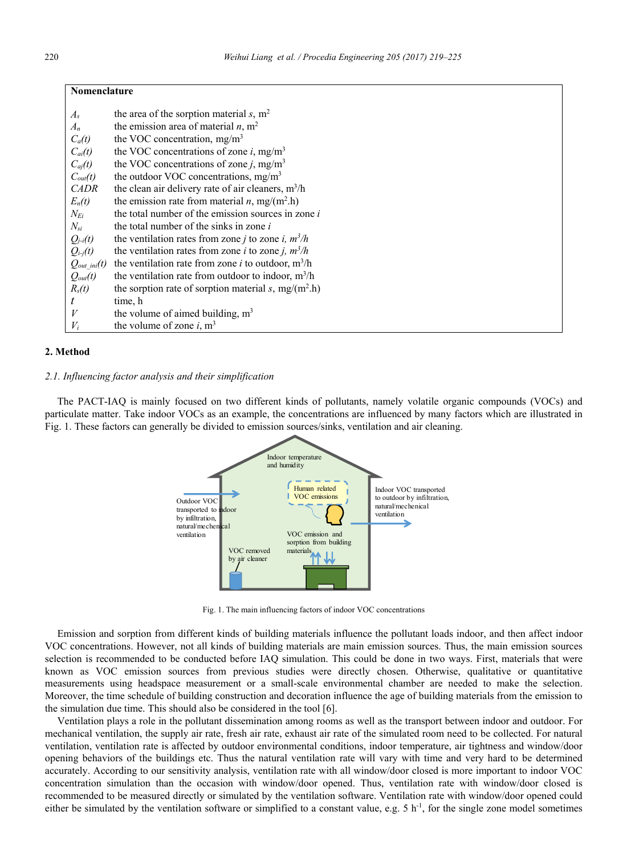|                   | Nomenclature                                                        |  |  |  |  |  |
|-------------------|---------------------------------------------------------------------|--|--|--|--|--|
| $A_{s}$           | the area of the sorption material s, $m2$                           |  |  |  |  |  |
| $A_n$             | the emission area of material $n$ , m <sup>2</sup>                  |  |  |  |  |  |
| $C_a(t)$          | the VOC concentration, $mg/m3$                                      |  |  |  |  |  |
| $C_{ai}(t)$       | the VOC concentrations of zone <i>i</i> , mg/m <sup>3</sup>         |  |  |  |  |  |
| $C_{aj}(t)$       | the VOC concentrations of zone <i>j</i> , mg/m <sup>3</sup>         |  |  |  |  |  |
| $C_{out}(t)$      | the outdoor VOC concentrations, $mg/m3$                             |  |  |  |  |  |
| <b>CADR</b>       | the clean air delivery rate of air cleaners, m <sup>3</sup> /h      |  |  |  |  |  |
| $E_n(t)$          | the emission rate from material <i>n</i> , mg/(m <sup>2</sup> .h)   |  |  |  |  |  |
| $N_{Ei}$          | the total number of the emission sources in zone $i$                |  |  |  |  |  |
| $N_{\rm{si}}$     | the total number of the sinks in zone i                             |  |  |  |  |  |
| $Q_{j-i}(t)$      | the ventilation rates from zone <i>j</i> to zone <i>i</i> , $m3/h$  |  |  |  |  |  |
| $Q_{i-j}(t)$      | the ventilation rates from zone <i>i</i> to zone <i>j</i> , $m^3/h$ |  |  |  |  |  |
| $Q_{out\_ini}(t)$ | the ventilation rate from zone <i>i</i> to outdoor, $m^3/h$         |  |  |  |  |  |
| $Q_{out}(t)$      | the ventilation rate from outdoor to indoor, $m^3/h$                |  |  |  |  |  |
| $R_s(t)$          | the sorption rate of sorption material s, mg/(m <sup>2</sup> .h)    |  |  |  |  |  |
|                   | time, h                                                             |  |  |  |  |  |
|                   | the volume of aimed building, $m3$                                  |  |  |  |  |  |
| $V_i$             | the volume of zone i, $m3$                                          |  |  |  |  |  |

# **2. Method**

# *2.1. Influencing factor analysis and their simplification*

The PACT-IAQ is mainly focused on two different kinds of pollutants, namely volatile organic compounds (VOCs) and particulate matter. Take indoor VOCs as an example, the concentrations are influenced by many factors which are illustrated in Fig. 1. These factors can generally be divided to emission sources/sinks, ventilation and air cleaning.



Fig. 1. The main influencing factors of indoor VOC concentrations

Emission and sorption from different kinds of building materials influence the pollutant loads indoor, and then affect indoor VOC concentrations. However, not all kinds of building materials are main emission sources. Thus, the main emission sources selection is recommended to be conducted before IAQ simulation. This could be done in two ways. First, materials that were known as VOC emission sources from previous studies were directly chosen. Otherwise, qualitative or quantitative measurements using headspace measurement or a small-scale environmental chamber are needed to make the selection. Moreover, the time schedule of building construction and decoration influence the age of building materials from the emission to the simulation due time. This should also be considered in the tool [6].

Ventilation plays a role in the pollutant dissemination among rooms as well as the transport between indoor and outdoor. For mechanical ventilation, the supply air rate, fresh air rate, exhaust air rate of the simulated room need to be collected. For natural ventilation, ventilation rate is affected by outdoor environmental conditions, indoor temperature, air tightness and window/door opening behaviors of the buildings etc. Thus the natural ventilation rate will vary with time and very hard to be determined accurately. According to our sensitivity analysis, ventilation rate with all window/door closed is more important to indoor VOC concentration simulation than the occasion with window/door opened. Thus, ventilation rate with window/door closed is recommended to be measured directly or simulated by the ventilation software. Ventilation rate with window/door opened could either be simulated by the ventilation software or simplified to a constant value, e.g. 5 h<sup>-1</sup>, for the single zone model sometimes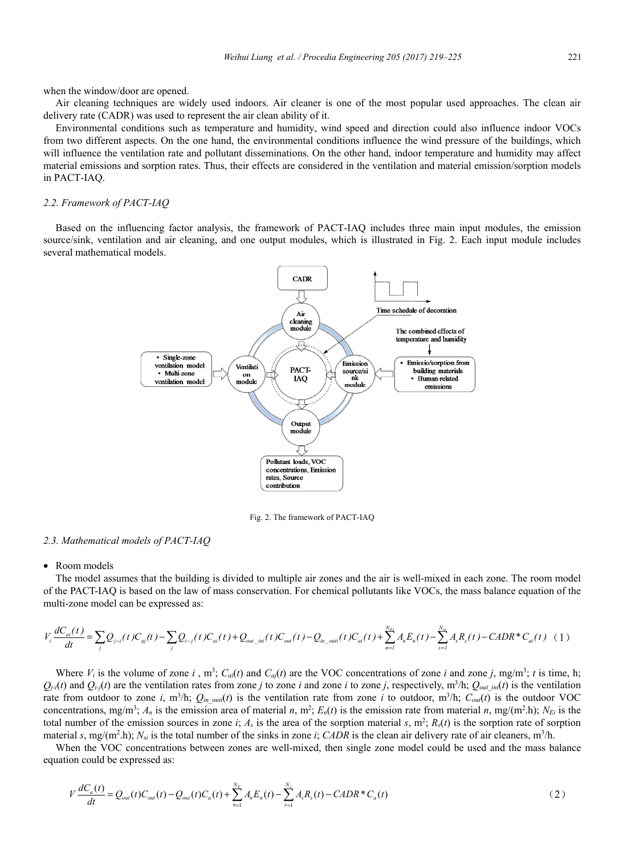Air cleaning techniques are widely used indoors. Air cleaner is one of the most popular used approaches. The clean air delivery rate (CADR) was used to represent the air clean ability of it.

Environmental conditions such as temperature and humidity, wind speed and direction could also influence indoor VOCs from two different aspects. On the one hand, the environmental conditions influence the wind pressure of the buildings, which will influence the ventilation rate and pollutant disseminations. On the other hand, indoor temperature and humidity may affect material emissions and sorption rates. Thus, their effects are considered in the ventilation and material emission/sorption models in PACT-IAQ.

## *2.2. Framework of PACT-IAQ*

Based on the influencing factor analysis, the framework of PACT-IAQ includes three main input modules, the emission source/sink, ventilation and air cleaning, and one output modules, which is illustrated in Fig. 2. Each input module includes several mathematical models.



Fig. 2. The framework of PACT-IAQ

## *2.3. Mathematical models of PACT-IAQ*

## • Room models

The model assumes that the building is divided to multiple air zones and the air is well-mixed in each zone. The room model of the PACT-IAQ is based on the law of mass conservation. For chemical pollutants like VOCs, the mass balance equation of the multi-zone model can be expressed as:

$$
V_i \frac{dC_{ai}(t)}{dt} = \sum_j Q_{j-i}(t)C_{aj}(t) - \sum_j Q_{i-j}(t)C_{ai}(t) + Q_{out\_ini}(t)C_{out}(t) - Q_{in\_out}(t)C_{ai}(t) + \sum_{n=1}^{N_{El}} A_n E_n(t) - \sum_{s=1}^{N_{si}} A_s R_s(t) - C A D R^* C_{ai}(t) \tag{1}
$$

Where  $V_i$  is the volume of zone  $i$ ,  $m^3$ ;  $C_{ai}(t)$  and  $C_{aj}(t)$  are the VOC concentrations of zone  $i$  and zone  $j$ , mg/m<sup>3</sup>;  $t$  is time, h;  $Q_{i,j}(t)$  and  $Q_{i,j}(t)$  are the ventilation rates from zone *j* to zone *i* and zone *i* to zone *j*, respectively, m<sup>3</sup>/h;  $Q_{out\_init}(t)$  is the ventilation rate from outdoor to zone *i*, m<sup>3</sup>/h;  $Q_{in\ out}(t)$  is the ventilation rate from zone *i* to outdoor, m<sup>3</sup>/h;  $C_{out}(t)$  is the outdoor VOC concentrations, mg/m<sup>3</sup>;  $A_n$  is the emission area of material  $n$ , m<sup>2</sup>;  $E_n(t)$  is the emission rate from material  $n$ , mg/(m<sup>2</sup>.h);  $N_{E_i}$  is the total number of the emission sources in zone *i*;  $A_s$  is the area of the sorption material *s*,  $m^2$ ;  $R_s(t)$  is the sorption rate of sorption material *s*, mg/(m<sup>2</sup>.h);  $N_{si}$  is the total number of the sinks in zone *i*; *CADR* is the clean air delivery rate of air cleaners, m<sup>3</sup>/h.

When the VOC concentrations between zones are well-mixed, then single zone model could be used and the mass balance equation could be expressed as:

$$
V\frac{dC_a(t)}{dt} = Q_{out}(t)C_{out}(t) - Q_{out}(t)C_a(t) + \sum_{n=1}^{N_E} A_n E_n(t) - \sum_{s=1}^{N_s} A_s R_s(t) - CADR * C_a(t)
$$
\n(2)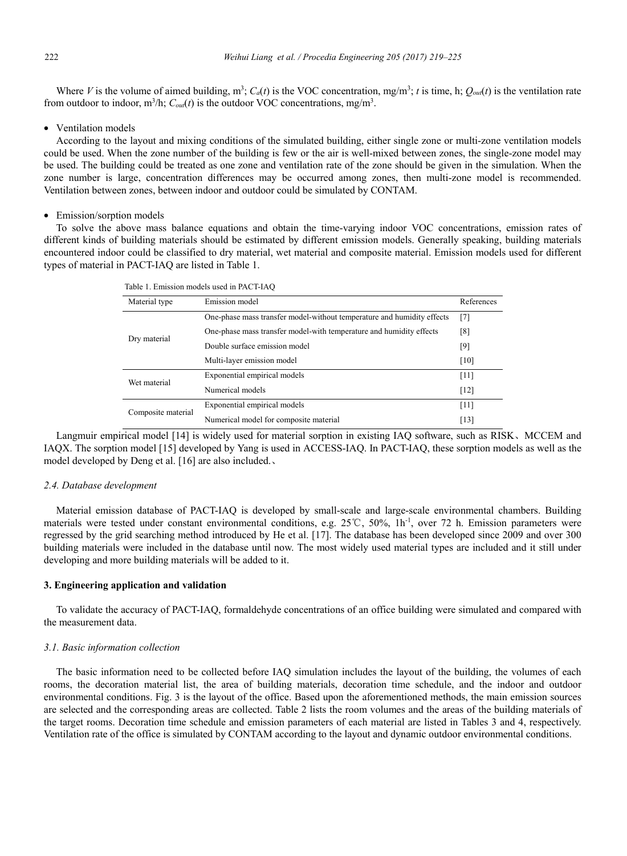Where *V* is the volume of aimed building,  $m^3$ ;  $C_a(t)$  is the VOC concentration, mg/m<sup>3</sup>; *t* is time, h;  $Q_{out}(t)$  is the ventilation rate from outdoor to indoor,  $m^3/h$ ;  $C_{\text{out}}(t)$  is the outdoor VOC concentrations, mg/m<sup>3</sup>.

• Ventilation models

According to the layout and mixing conditions of the simulated building, either single zone or multi-zone ventilation models could be used. When the zone number of the building is few or the air is well-mixed between zones, the single-zone model may be used. The building could be treated as one zone and ventilation rate of the zone should be given in the simulation. When the zone number is large, concentration differences may be occurred among zones, then multi-zone model is recommended. Ventilation between zones, between indoor and outdoor could be simulated by CONTAM.

• Emission/sorption models

To solve the above mass balance equations and obtain the time-varying indoor VOC concentrations, emission rates of different kinds of building materials should be estimated by different emission models. Generally speaking, building materials encountered indoor could be classified to dry material, wet material and composite material. Emission models used for different types of material in PACT-IAQ are listed in Table 1.

| Table 1. Emission models used in PACT-IAQ |                                                                        |            |  |  |  |  |
|-------------------------------------------|------------------------------------------------------------------------|------------|--|--|--|--|
| Material type                             | Emission model                                                         | References |  |  |  |  |
|                                           | One-phase mass transfer model-without temperature and humidity effects | [7]        |  |  |  |  |
| Dry material                              | One-phase mass transfer model-with temperature and humidity effects    | [8]        |  |  |  |  |
|                                           | Double surface emission model                                          | [9]        |  |  |  |  |
|                                           | Multi-layer emission model                                             | [10]       |  |  |  |  |
| Wet material                              | Exponential empirical models                                           | $[11]$     |  |  |  |  |
|                                           | Numerical models                                                       | [12]       |  |  |  |  |
| Composite material                        | Exponential empirical models                                           | $[11]$     |  |  |  |  |
|                                           | Numerical model for composite material                                 | [13]       |  |  |  |  |

Langmuir empirical model [14] is widely used for material sorption in existing IAQ software, such as RISK、MCCEM and IAQX. The sorption model [15] developed by Yang is used in ACCESS-IAQ. In PACT-IAQ, these sorption models as well as the model developed by Deng et al. [16] are also included.、

#### *2.4. Database development*

Material emission database of PACT-IAQ is developed by small-scale and large-scale environmental chambers. Building materials were tested under constant environmental conditions, e.g. 25℃, 50%, 1h-1, over 72 h. Emission parameters were regressed by the grid searching method introduced by He et al. [17]. The database has been developed since 2009 and over 300 building materials were included in the database until now. The most widely used material types are included and it still under developing and more building materials will be added to it.

# **3. Engineering application and validation**

To validate the accuracy of PACT-IAQ, formaldehyde concentrations of an office building were simulated and compared with the measurement data.

## *3.1. Basic information collection*

The basic information need to be collected before IAQ simulation includes the layout of the building, the volumes of each rooms, the decoration material list, the area of building materials, decoration time schedule, and the indoor and outdoor environmental conditions. Fig. 3 is the layout of the office. Based upon the aforementioned methods, the main emission sources are selected and the corresponding areas are collected. Table 2 lists the room volumes and the areas of the building materials of the target rooms. Decoration time schedule and emission parameters of each material are listed in Tables 3 and 4, respectively. Ventilation rate of the office is simulated by CONTAM according to the layout and dynamic outdoor environmental conditions.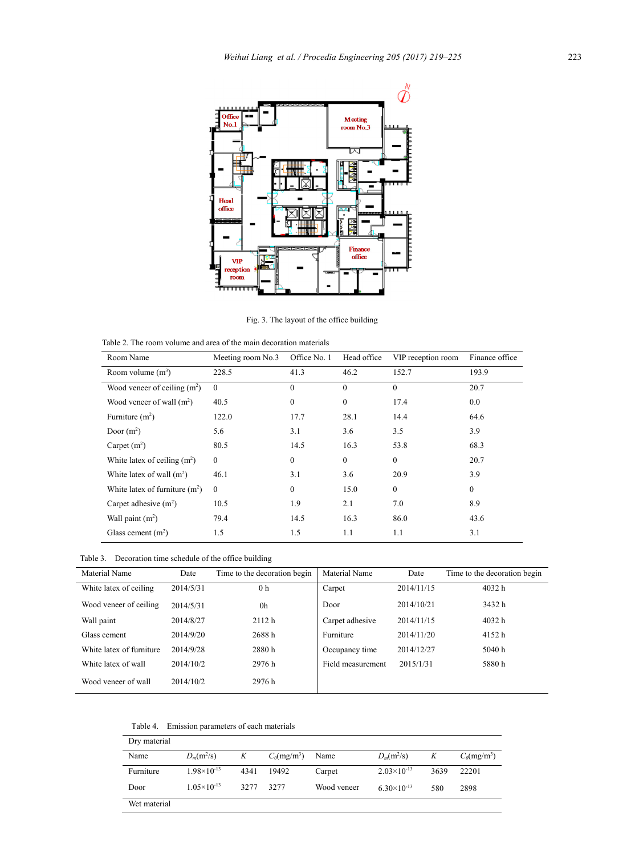

Fig. 3. The layout of the office building

| Table 2. The room volume and area of the main decoration materials |  |
|--------------------------------------------------------------------|--|
|--------------------------------------------------------------------|--|

| Room Name                       | Meeting room No.3 | Office No. 1     | Head office  | VIP reception room | Finance office |
|---------------------------------|-------------------|------------------|--------------|--------------------|----------------|
| Room volume $(m^3)$             | 228.5             | 41.3             | 46.2         | 152.7              | 193.9          |
| Wood veneer of ceiling $(m2)$   | $\theta$          | $\boldsymbol{0}$ | $\theta$     | $\Omega$           | 20.7           |
| Wood veneer of wall $(m2)$      | 40.5              | 0                | $\mathbf{0}$ | 17.4               | 0.0            |
| Furniture $(m2)$                | 122.0             | 17.7             | 28.1         | 14.4               | 64.6           |
| Door $(m^2)$                    | 5.6               | 3.1              | 3.6          | 3.5                | 3.9            |
| Carpet $(m2)$                   | 80.5              | 14.5             | 16.3         | 53.8               | 68.3           |
| White latex of ceiling $(m2)$   | $\mathbf{0}$      | $\overline{0}$   | $\mathbf{0}$ | $\mathbf{0}$       | 20.7           |
| White latex of wall $(m2)$      | 46.1              | 3.1              | 3.6          | 20.9               | 3.9            |
| White latex of furniture $(m2)$ | $\Omega$          | 0                | 15.0         | $\mathbf{0}$       | $\mathbf{0}$   |
| Carpet adhesive $(m2)$          | 10.5              | 1.9              | 2.1          | 7.0                | 8.9            |
| Wall paint $(m2)$               | 79.4              | 14.5             | 16.3         | 86.0               | 43.6           |
| Glass cement $(m2)$             | 1.5               | 1.5              | 1.1          | 1.1                | 3.1            |

Table 3. Decoration time schedule of the office building

| Material Name            | Date      | Time to the decoration begin | <b>Material Name</b> | Date       | Time to the decoration begin |
|--------------------------|-----------|------------------------------|----------------------|------------|------------------------------|
| White latex of ceiling   | 2014/5/31 | 0 <sub>h</sub>               | Carpet               | 2014/11/15 | 4032 h                       |
| Wood veneer of ceiling   | 2014/5/31 | 0 <sub>h</sub>               | Door                 | 2014/10/21 | 3432 h                       |
| Wall paint               | 2014/8/27 | 2112h                        | Carpet adhesive      | 2014/11/15 | 4032h                        |
| Glass cement             | 2014/9/20 | 2688 h                       | Furniture            | 2014/11/20 | 4152 h                       |
| White latex of furniture | 2014/9/28 | 2880 h                       | Occupancy time       | 2014/12/27 | 5040 h                       |
| White latex of wall      | 2014/10/2 | 2976 h                       | Field measurement    | 2015/1/31  | 5880 h                       |
| Wood veneer of wall      | 2014/10/2 | 2976 h                       |                      |            |                              |

| Table 4. | Emission parameters of each materials |  |  |
|----------|---------------------------------------|--|--|
|----------|---------------------------------------|--|--|

| Dry material |                        |      |                            |             |                        |      |                            |
|--------------|------------------------|------|----------------------------|-------------|------------------------|------|----------------------------|
| Name         | $D_m(m^2/s)$           | K    | $C_0$ (mg/m <sup>3</sup> ) | Name        | $D_m(m^2/s)$           | Κ    | $C_0$ (mg/m <sup>3</sup> ) |
| Furniture    | $1.98 \times 10^{-13}$ | 4341 | 19492                      | Carpet      | $2.03 \times 10^{-13}$ | 3639 | 22201                      |
| Door         | $1.05 \times 10^{-13}$ | 3277 | 3277                       | Wood veneer | $6.30\times10^{-13}$   | 580  | 2898                       |
| Wet material |                        |      |                            |             |                        |      |                            |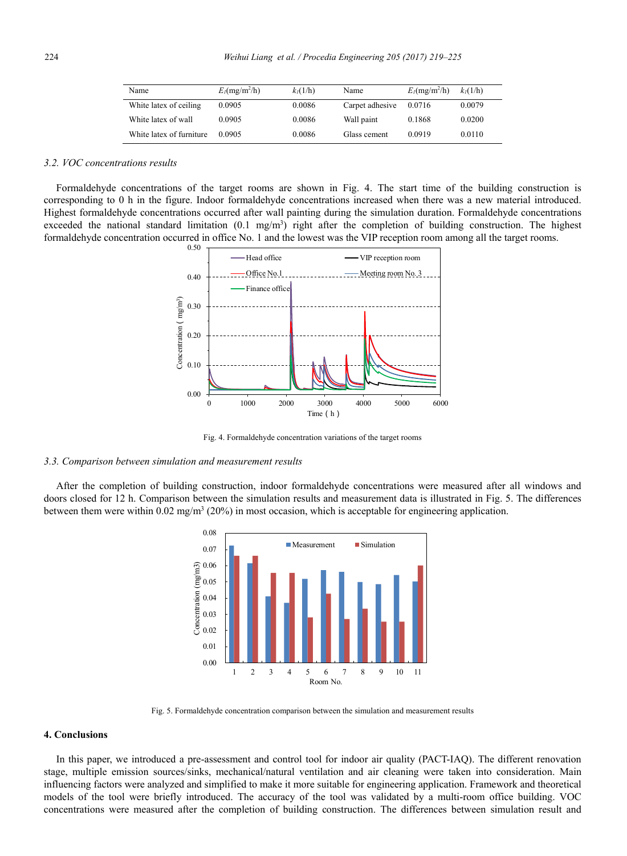| Name                     | $E_l$ (mg/m <sup>2</sup> /h) | $k_1(1/h)$ | Name            | $E_l$ (mg/m <sup>2</sup> /h) | k/(1/h) |
|--------------------------|------------------------------|------------|-----------------|------------------------------|---------|
| White latex of ceiling   | 0.0905                       | 0.0086     | Carpet adhesive | 0.0716                       | 0.0079  |
| White latex of wall      | 0.0905                       | 0.0086     | Wall paint      | 0.1868                       | 0.0200  |
| White latex of furniture | 0.0905                       | 0.0086     | Glass cement    | 0.0919                       | 0.0110  |

## *3.2. VOC concentrations results*

Formaldehyde concentrations of the target rooms are shown in Fig. 4. The start time of the building construction is corresponding to 0 h in the figure. Indoor formaldehyde concentrations increased when there was a new material introduced. Highest formaldehyde concentrations occurred after wall painting during the simulation duration. Formaldehyde concentrations exceeded the national standard limitation  $(0.1 \text{ mg/m}^3)$  right after the completion of building construction. The highest formaldehyde concentration occurred in office No. 1 and the lowest was the VIP reception room among all the target rooms.



Fig. 4. Formaldehyde concentration variations of the target rooms

#### *3.3. Comparison between simulation and measurement results*

After the completion of building construction, indoor formaldehyde concentrations were measured after all windows and doors closed for 12 h. Comparison between the simulation results and measurement data is illustrated in Fig. 5. The differences between them were within 0.02 mg/m<sup>3</sup> (20%) in most occasion, which is acceptable for engineering application.



Fig. 5. Formaldehyde concentration comparison between the simulation and measurement results

# **4. Conclusions**

In this paper, we introduced a pre-assessment and control tool for indoor air quality (PACT-IAQ). The different renovation stage, multiple emission sources/sinks, mechanical/natural ventilation and air cleaning were taken into consideration. Main influencing factors were analyzed and simplified to make it more suitable for engineering application. Framework and theoretical models of the tool were briefly introduced. The accuracy of the tool was validated by a multi-room office building. VOC concentrations were measured after the completion of building construction. The differences between simulation result and